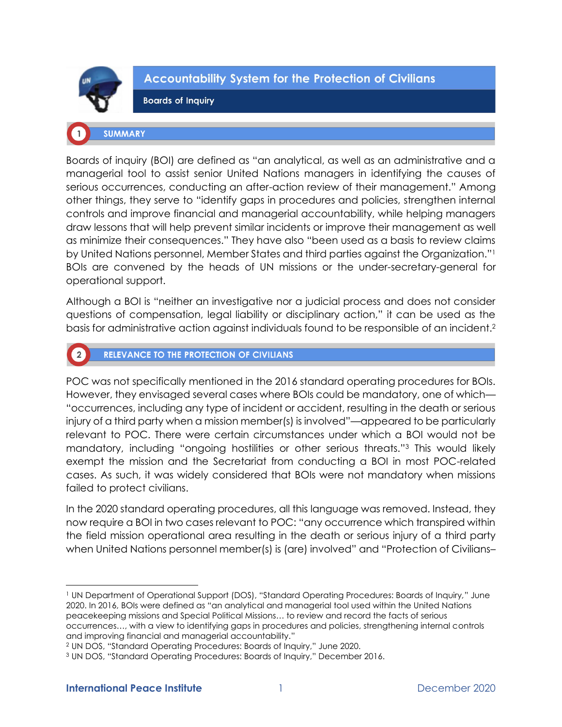

 $\boxed{2}$ 

**Accountability System for the Protection of Civilians** 

**Boards of Inquiry** 

# **SUMMARY**

Boards of inquiry (BOI) are defined as "an analytical, as well as an administrative and a managerial tool to assist senior United Nations managers in identifying the causes of serious occurrences, conducting an after-action review of their management." Among other things, they serve to "identify gaps in procedures and policies, strengthen internal controls and improve financial and managerial accountability, while helping managers draw lessons that will help prevent similar incidents or improve their management as well as minimize their consequences." They have also "been used as a basis to review claims by United Nations personnel, Member States and third parties against the Organization."<sup>1</sup> BOIs are convened by the heads of UN missions or the under-secretary-general for operational support.

Although a BOI is "neither an investigative nor a judicial process and does not consider questions of compensation, legal liability or disciplinary action," it can be used as the basis for administrative action against individuals found to be responsible of an incident.<sup>2</sup>

# **RELEVANCE TO THE PROTECTION OF CIVILIANS**

POC was not specifically mentioned in the 2016 standard operating procedures for BOIs. However, they envisaged several cases where BOIs could be mandatory, one of which— "occurrences, including any type of incident or accident, resulting in the death or serious injury of a third party when a mission member(s) is involved"—appeared to be particularly relevant to POC. There were certain circumstances under which a BOI would not be mandatory, including "ongoing hostilities or other serious threats."<sup>3</sup> This would likely exempt the mission and the Secretariat from conducting a BOI in most POC-related cases. As such, it was widely considered that BOIs were not mandatory when missions failed to protect civilians.

In the 2020 standard operating procedures, all this language was removed. Instead, they now require a BOI in two cases relevant to POC: "any occurrence which transpired within the field mission operational area resulting in the death or serious injury of a third party when United Nations personnel member(s) is (are) involved" and "Protection of Civilians-

<sup>1</sup> UN Department of Operational Support (DOS), "Standard Operating Procedures: Boards of Inquiry*,*" June 2020. In 2016, BOIs were defined as "an analytical and managerial tool used within the United Nations peacekeeping missions and Special Political Missions… to review and record the facts of serious occurrences…, with a view to identifying gaps in procedures and policies, strengthening internal controls and improving financial and managerial accountability."

<sup>2</sup> UN DOS, "Standard Operating Procedures: Boards of Inquiry," June 2020.

<sup>3</sup> UN DOS, "Standard Operating Procedures: Boards of Inquiry," December 2016.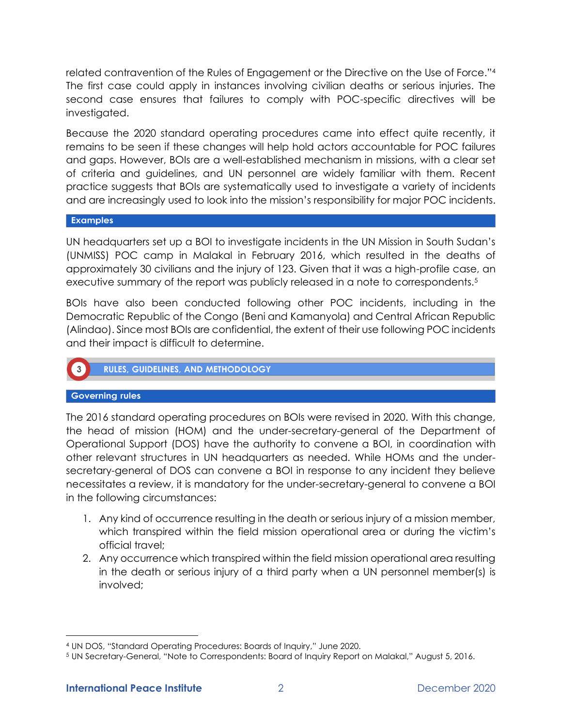related contravention of the Rules of Engagement or the Directive on the Use of Force."<sup>4</sup> The first case could apply in instances involving civilian deaths or serious injuries. The second case ensures that failures to comply with POC-specific directives will be investigated.

Because the 2020 standard operating procedures came into effect quite recently, it remains to be seen if these changes will help hold actors accountable for POC failures and gaps. However, BOIs are a well-established mechanism in missions, with a clear set of criteria and guidelines, and UN personnel are widely familiar with them. Recent practice suggests that BOIs are systematically used to investigate a variety of incidents and are increasingly used to look into the mission's responsibility for major POC incidents.

## **Examples**

UN headquarters set up a BOI to investigate incidents in the UN Mission in South Sudan's (UNMISS) POC camp in Malakal in February 2016, which resulted in the deaths of approximately 30 civilians and the injury of 123. Given that it was a high-profile case, an executive summary of the report was publicly released in a note to correspondents.<sup>5</sup>

BOIs have also been conducted following other POC incidents, including in the Democratic Republic of the Congo (Beni and Kamanyola) and Central African Republic (Alindao). Since most BOIs are confidential, the extent of their use following POC incidents and their impact is difficult to determine.

# **RULES, GUIDELINES, AND METHODOLOGY**

# **Governing rules**

The 2016 standard operating procedures on BOIs were revised in 2020. With this change, the head of mission (HOM) and the under-secretary-general of the Department of Operational Support (DOS) have the authority to convene a BOI, in coordination with other relevant structures in UN headquarters as needed. While HOMs and the undersecretary-general of DOS can convene a BOI in response to any incident they believe necessitates a review, it is mandatory for the under-secretary-general to convene a BOI in the following circumstances:

- 1. Any kind of occurrence resulting in the death or serious injury of a mission member, which transpired within the field mission operational area or during the victim's official travel;
- 2. Any occurrence which transpired within the field mission operational area resulting in the death or serious injury of a third party when a UN personnel member(s) is involved;

<sup>4</sup> UN DOS, "Standard Operating Procedures: Boards of Inquiry," June 2020.

<sup>5</sup> UN Secretary-General, "Note to Correspondents: Board of Inquiry Report on Malakal," August 5, 2016.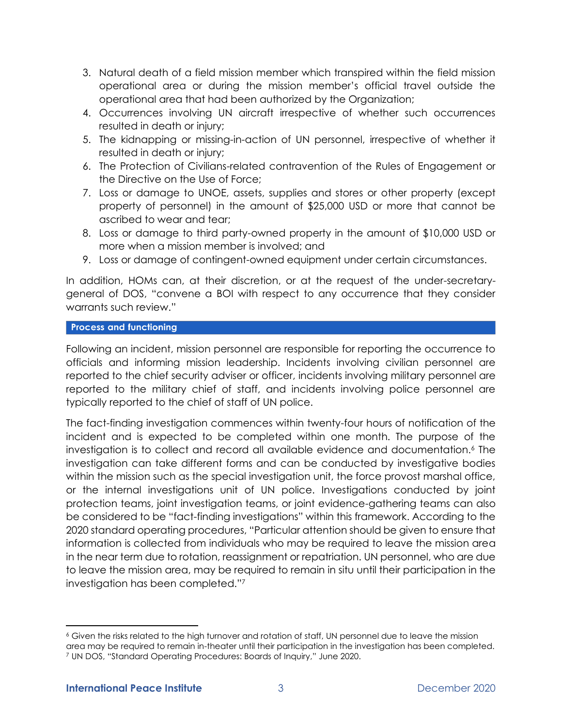- 3. Natural death of a field mission member which transpired within the field mission operational area or during the mission member's official travel outside the operational area that had been authorized by the Organization;
- 4. Occurrences involving UN aircraft irrespective of whether such occurrences resulted in death or injury;
- 5. The kidnapping or missing-in-action of UN personnel, irrespective of whether it resulted in death or injury;
- 6. The Protection of Civilians-related contravention of the Rules of Engagement or the Directive on the Use of Force;
- 7. Loss or damage to UNOE, assets, supplies and stores or other property (except property of personnel) in the amount of \$25,000 USD or more that cannot be ascribed to wear and tear;
- 8. Loss or damage to third party-owned property in the amount of \$10,000 USD or more when a mission member is involved; and
- 9. Loss or damage of contingent-owned equipment under certain circumstances.

In addition, HOMs can, at their discretion, or at the request of the under-secretarygeneral of DOS, "convene a BOI with respect to any occurrence that they consider warrants such review."

# **Process and functioning**

Following an incident, mission personnel are responsible for reporting the occurrence to officials and informing mission leadership. Incidents involving civilian personnel are reported to the chief security adviser or officer, incidents involving military personnel are reported to the military chief of staff, and incidents involving police personnel are typically reported to the chief of staff of UN police.

The fact-finding investigation commences within twenty-four hours of notification of the incident and is expected to be completed within one month. The purpose of the investigation is to collect and record all available evidence and documentation.<sup>6</sup> The investigation can take different forms and can be conducted by investigative bodies within the mission such as the special investigation unit, the force provost marshal office, or the internal investigations unit of UN police. Investigations conducted by joint protection teams, joint investigation teams, or joint evidence-gathering teams can also be considered to be "fact-finding investigations" within this framework. According to the 2020 standard operating procedures, "Particular attention should be given to ensure that information is collected from individuals who may be required to leave the mission area in the near term due to rotation, reassignment or repatriation. UN personnel, who are due to leave the mission area, may be required to remain in situ until their participation in the investigation has been completed."<sup>7</sup>

<sup>6</sup> Given the risks related to the high turnover and rotation of staff, UN personnel due to leave the mission area may be required to remain in-theater until their participation in the investigation has been completed. <sup>7</sup> UN DOS, "Standard Operating Procedures: Boards of Inquiry," June 2020.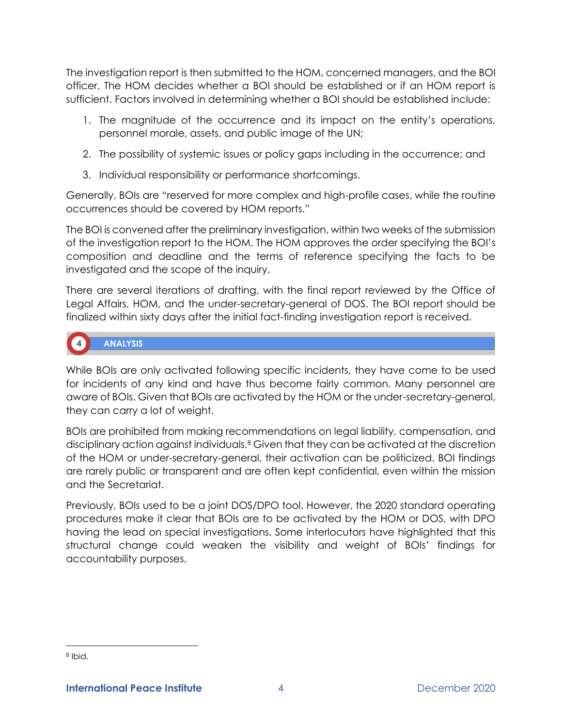The investigation report is then submitted to the HOM, concerned managers, and the BOI officer. The HOM decides whether a BOI should be established or if an HOM report is sufficient. Factors involved in determining whether a BOI should be established include:

- 1. The magnitude of the occurrence and its impact on the entity's operations, personnel morale, assets, and public image of the UN;
- 2. The possibility of systemic issues or policy gaps including in the occurrence; and
- 3. Individual responsibility or performance shortcomings.

Generally, BOIs are "reserved for more complex and high-profile cases, while the routine occurrences should be covered by HOM reports."

The BOI is convened after the preliminary investigation, within two weeks of the submission of the investigation report to the HOM. The HOM approves the order specifying the BOI's composition and deadline and the terms of reference specifying the facts to be investigated and the scope of the inquiry.

There are several iterations of drafting, with the final report reviewed by the Office of Legal Affairs, HOM, and the under-secretary-general of DOS. The BOI report should be finalized within sixty days after the initial fact-finding investigation report is received.

# **ANALYSIS**

While BOIs are only activated following specific incidents, they have come to be used for incidents of any kind and have thus become fairly common. Many personnel are aware of BOIs. Given that BOIs are activated by the HOM or the under-secretary-general, they can carry a lot of weight.

BOIs are prohibited from making recommendations on legal liability, compensation, and disciplinary action against individuals.<sup>8</sup> Given that they can be activated at the discretion of the HOM or under-secretary-general, their activation can be politicized. BOI findings are rarely public or transparent and are often kept confidential, even within the mission and the Secretariat.

Previously, BOIs used to be a joint DOS/DPO tool. However, the 2020 standard operating procedures make it clear that BOIs are to be activated by the HOM or DOS, with DPO having the lead on special investigations. Some interlocutors have highlighted that this structural change could weaken the visibility and weight of BOIs' findings for accountability purposes.

<sup>8</sup> Ibid.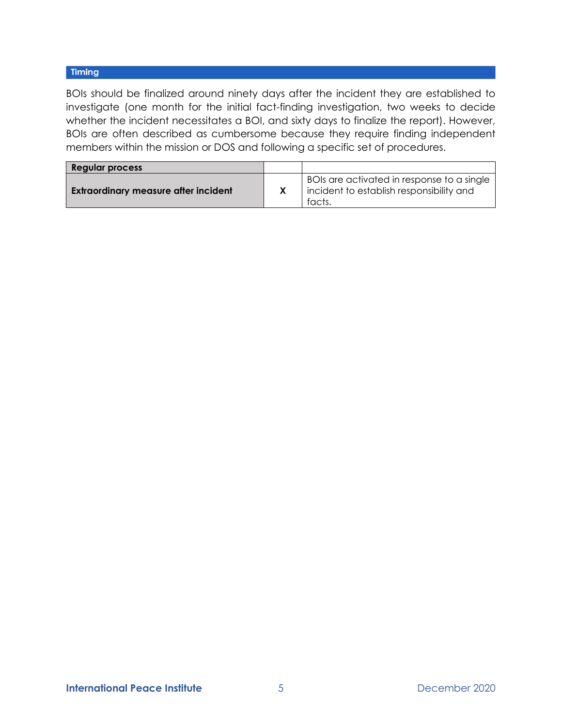# Timing

BOIs should be finalized around ninety days after the incident they are established to investigate (one month for the initial fact-finding investigation, two weeks to decide whether the incident necessitates a BOI, and sixty days to finalize the report). However, BOIs are often described as cumbersome because they require finding independent members within the mission or DOS and following a specific set of procedures.

| <b>Regular process</b>                      |                                                                                                  |
|---------------------------------------------|--------------------------------------------------------------------------------------------------|
| <b>Extraordinary measure after incident</b> | BOIs are activated in response to a single<br>incident to establish responsibility and<br>facts. |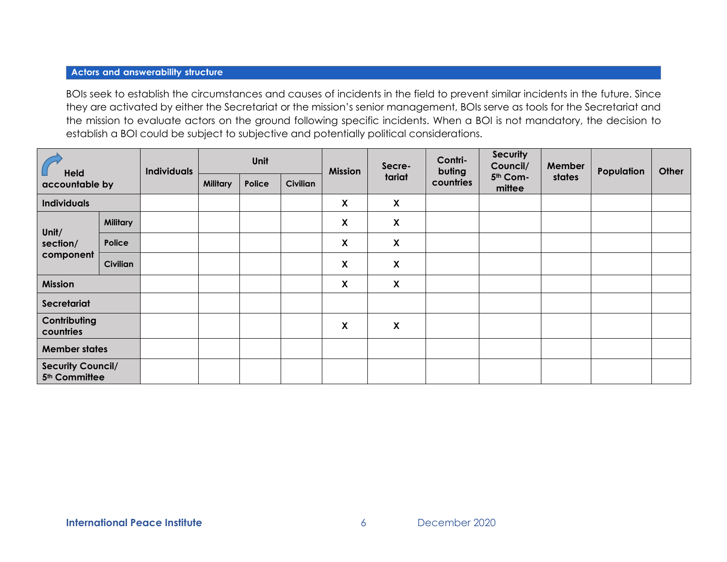#### **Actors and answerability structure**

BOIs seek to establish the circumstances and causes of incidents in the field to prevent similar incidents in the future. Since they are activated by either the Secretariat or the mission's senior management, BOIs serve as tools for the Secretariat and the mission to evaluate actors on the ground following specific incidents. When a BOI is not mandatory, the decision to establish a BOI could be subject to subjective and potentially political considerations.

| Held<br>accountable by                                |                 | <b>Individuals</b> | Unit            |        | <b>Mission</b> | Secre- | Contri-<br>buting         | <b>Security</b><br>Council/ | <b>Member</b>      | Population | Other |  |
|-------------------------------------------------------|-----------------|--------------------|-----------------|--------|----------------|--------|---------------------------|-----------------------------|--------------------|------------|-------|--|
|                                                       |                 |                    | <b>Military</b> | Police | Civilian       |        | tariat                    | countries                   | 5th Com-<br>mittee | states     |       |  |
| <b>Individuals</b>                                    |                 |                    |                 |        |                | X      | $\boldsymbol{\mathsf{X}}$ |                             |                    |            |       |  |
| Unit/<br>section/<br>component                        | <b>Military</b> |                    |                 |        |                | X      | $\boldsymbol{\mathsf{X}}$ |                             |                    |            |       |  |
|                                                       | Police          |                    |                 |        |                | X      | X                         |                             |                    |            |       |  |
|                                                       | <b>Civilian</b> |                    |                 |        |                | X      | $\boldsymbol{\mathsf{X}}$ |                             |                    |            |       |  |
| Mission                                               |                 |                    |                 |        |                | X      | $\boldsymbol{\mathsf{X}}$ |                             |                    |            |       |  |
| Secretariat                                           |                 |                    |                 |        |                |        |                           |                             |                    |            |       |  |
| Contributing<br>countries                             |                 |                    |                 |        |                | X      | X                         |                             |                    |            |       |  |
| <b>Member states</b>                                  |                 |                    |                 |        |                |        |                           |                             |                    |            |       |  |
| <b>Security Council/</b><br>5 <sup>th</sup> Committee |                 |                    |                 |        |                |        |                           |                             |                    |            |       |  |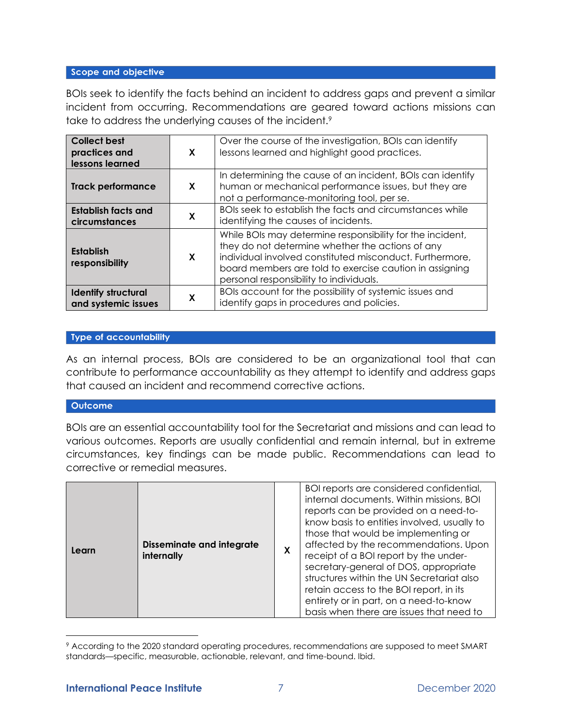#### Scope and objective

BOIs seek to identify the facts behind an incident to address gaps and prevent a similar incident from occurring. Recommendations are geared toward actions missions can take to address the underlying causes of the incident.<sup>9</sup>

| <b>Collect best</b><br>practices and<br>lessons learned | X | Over the course of the investigation, BOIs can identify<br>lessons learned and highlight good practices.                                                                                                                                                                        |
|---------------------------------------------------------|---|---------------------------------------------------------------------------------------------------------------------------------------------------------------------------------------------------------------------------------------------------------------------------------|
| <b>Track performance</b>                                | X | In determining the cause of an incident, BOIs can identify<br>human or mechanical performance issues, but they are<br>not a performance-monitoring tool, per se.                                                                                                                |
| <b>Establish facts and</b><br>circumstances             | X | BOIs seek to establish the facts and circumstances while<br>identifying the causes of incidents.                                                                                                                                                                                |
| <b>Establish</b><br>responsibility                      | X | While BOIs may determine responsibility for the incident,<br>they do not determine whether the actions of any<br>individual involved constituted misconduct. Furthermore,<br>board members are told to exercise caution in assigning<br>personal responsibility to individuals. |
| <b>Identify structural</b><br>and systemic issues       | χ | BOIs account for the possibility of systemic issues and<br>identify gaps in procedures and policies.                                                                                                                                                                            |

## **Type of accountability**

As an internal process, BOIs are considered to be an organizational tool that can contribute to performance accountability as they attempt to identify and address gaps that caused an incident and recommend corrective actions.

#### Outcome

BOIs are an essential accountability tool for the Secretariat and missions and can lead to various outcomes. Reports are usually confidential and remain internal, but in extreme circumstances, key findings can be made public. Recommendations can lead to corrective or remedial measures.

| <b>Disseminate and integrate</b><br>Learn<br>internally | X | BOI reports are considered confidential,<br>internal documents. Within missions, BOI<br>reports can be provided on a need-to-<br>know basis to entities involved, usually to<br>those that would be implementing or<br>affected by the recommendations. Upon<br>receipt of a BOI report by the under-<br>secretary-general of DOS, appropriate<br>structures within the UN Secretariat also<br>retain access to the BOI report, in its<br>entirety or in part, on a need-to-know<br>basis when there are issues that need to |
|---------------------------------------------------------|---|------------------------------------------------------------------------------------------------------------------------------------------------------------------------------------------------------------------------------------------------------------------------------------------------------------------------------------------------------------------------------------------------------------------------------------------------------------------------------------------------------------------------------|
|---------------------------------------------------------|---|------------------------------------------------------------------------------------------------------------------------------------------------------------------------------------------------------------------------------------------------------------------------------------------------------------------------------------------------------------------------------------------------------------------------------------------------------------------------------------------------------------------------------|

<sup>9</sup> According to the 2020 standard operating procedures, recommendations are supposed to meet SMART standards—specific, measurable, actionable, relevant, and time-bound. Ibid.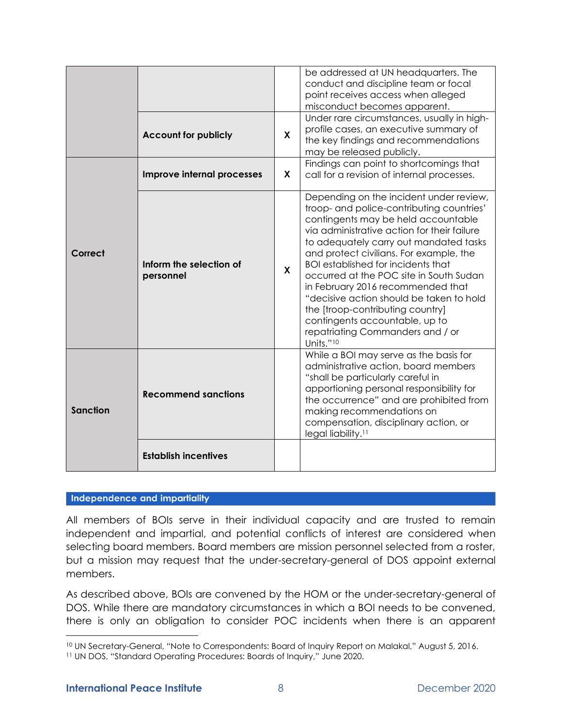|                                                 |                             |              | be addressed at UN headquarters. The<br>conduct and discipline team or focal<br>point receives access when alleged<br>misconduct becomes apparent.                                                                                                                                                                                                                                                                                                                                                                                                              |  |  |
|-------------------------------------------------|-----------------------------|--------------|-----------------------------------------------------------------------------------------------------------------------------------------------------------------------------------------------------------------------------------------------------------------------------------------------------------------------------------------------------------------------------------------------------------------------------------------------------------------------------------------------------------------------------------------------------------------|--|--|
|                                                 | <b>Account for publicly</b> | X            | Under rare circumstances, usually in high-<br>profile cases, an executive summary of<br>the key findings and recommendations<br>may be released publicly.                                                                                                                                                                                                                                                                                                                                                                                                       |  |  |
|                                                 | Improve internal processes  | X            | Findings can point to shortcomings that<br>call for a revision of internal processes.                                                                                                                                                                                                                                                                                                                                                                                                                                                                           |  |  |
| Correct<br>Inform the selection of<br>personnel |                             | $\mathbf{x}$ | Depending on the incident under review,<br>troop- and police-contributing countries'<br>contingents may be held accountable<br>via administrative action for their failure<br>to adequately carry out mandated tasks<br>and protect civilians. For example, the<br><b>BOI</b> established for incidents that<br>occurred at the POC site in South Sudan<br>in February 2016 recommended that<br>"decisive action should be taken to hold<br>the [troop-contributing country]<br>contingents accountable, up to<br>repatriating Commanders and / or<br>Units."10 |  |  |
| <b>Sanction</b>                                 | <b>Recommend sanctions</b>  |              | While a BOI may serve as the basis for<br>administrative action, board members<br>"shall be particularly careful in<br>apportioning personal responsibility for<br>the occurrence" and are prohibited from<br>making recommendations on<br>compensation, disciplinary action, or<br>legal liability. <sup>11</sup>                                                                                                                                                                                                                                              |  |  |
|                                                 | <b>Establish incentives</b> |              |                                                                                                                                                                                                                                                                                                                                                                                                                                                                                                                                                                 |  |  |

#### Independence and impartiality

All members of BOIs serve in their individual capacity and are trusted to remain independent and impartial, and potential conflicts of interest are considered when selecting board members. Board members are mission personnel selected from a roster, but a mission may request that the under-secretary-general of DOS appoint external members.

As described above, BOIs are convened by the HOM or the under-secretary-general of DOS. While there are mandatory circumstances in which a BOI needs to be convened, there is only an obligation to consider POC incidents when there is an apparent

<sup>10</sup> UN Secretary-General, "Note to Correspondents: Board of Inquiry Report on Malakal," August 5, 2016.

<sup>11</sup> UN DOS, "Standard Operating Procedures: Boards of Inquiry," June 2020.